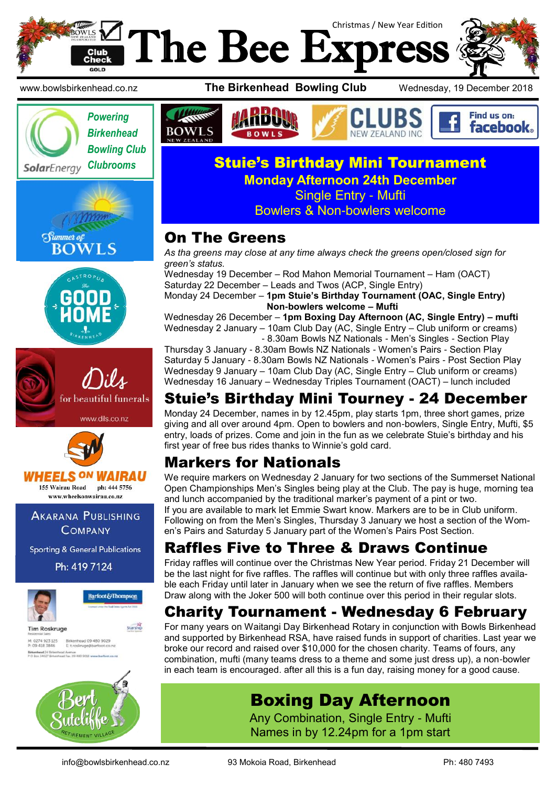











155 Wairau Road ph: 444 5756 www.wheelsonwairau.co.nz

**AKARANA PUBLISHING COMPANY** 

**Sporting & General Publications** 

Ph: 419 7124



M: 0274 923 125 Birkenhead 09 480 9029<br>P: 09 418 3846 Etroskruge@barfoot.co.nz Birkenhead 24 Britent







#### **Clubrooms Stuie's Birthday Mini Tournament Monday Afternoon 24th December** Single Entry - Mufti Bowlers & Non-bowlers welcome

# On The Greens

*As tha greens may close at any time always check the greens open/closed sign for green's status.*

Wednesday 19 December – Rod Mahon Memorial Tournament – Ham (OACT) Saturday 22 December – Leads and Twos (ACP, Single Entry)

Monday 24 December – **1pm Stuie's Birthday Tournament (OAC, Single Entry) Non-bowlers welcome – Mufti**

Wednesday 26 December – **1pm Boxing Day Afternoon (AC, Single Entry) – mufti** Wednesday 2 January – 10am Club Day (AC, Single Entry – Club uniform or creams) - 8.30am Bowls NZ Nationals - Men's Singles - Section Play

Thursday 3 January - 8.30am Bowls NZ Nationals - Women's Pairs - Section Play Saturday 5 January - 8.30am Bowls NZ Nationals - Women's Pairs - Post Section Play Wednesday 9 January – 10am Club Day (AC, Single Entry – Club uniform or creams) Wednesday 16 January – Wednesday Triples Tournament (OACT) – lunch included

# Stuie's Birthday Mini Tourney - 24 December

Monday 24 December, names in by 12.45pm, play starts 1pm, three short games, prize giving and all over around 4pm. Open to bowlers and non-bowlers, Single Entry, Mufti, \$5 entry, loads of prizes. Come and join in the fun as we celebrate Stuie's birthday and his first year of free bus rides thanks to Winnie's gold card.

# Markers for Nationals

We require markers on Wednesday 2 January for two sections of the Summerset National Open Championships Men's Singles being play at the Club. The pay is huge, morning tea and lunch accompanied by the traditional marker's payment of a pint or two. If you are available to mark let Emmie Swart know. Markers are to be in Club uniform. Following on from the Men's Singles, Thursday 3 January we host a section of the Women's Pairs and Saturday 5 January part of the Women's Pairs Post Section.

# Raffles Five to Three & Draws Continue

Friday raffles will continue over the Christmas New Year period. Friday 21 December will be the last night for five raffles. The raffles will continue but with only three raffles available each Friday until later in January when we see the return of five raffles. Members Draw along with the Joker 500 will both continue over this period in their regular slots.

# Charity Tournament - Wednesday 6 February

For many years on Waitangi Day Birkenhead Rotary in conjunction with Bowls Birkenhead and supported by Birkenhead RSA, have raised funds in support of charities. Last year we broke our record and raised over \$10,000 for the chosen charity. Teams of fours, any combination, mufti (many teams dress to a theme and some just dress up), a non-bowler in each team is encouraged. after all this is a fun day, raising money for a good cause.

# Boxing Day Afternoon

Any Combination, Single Entry - Mufti Names in by 12.24pm for a 1pm start

info@bowlsbirkenhead.co.nz 93 Mokoia Road, Birkenhead Ph: 480 7493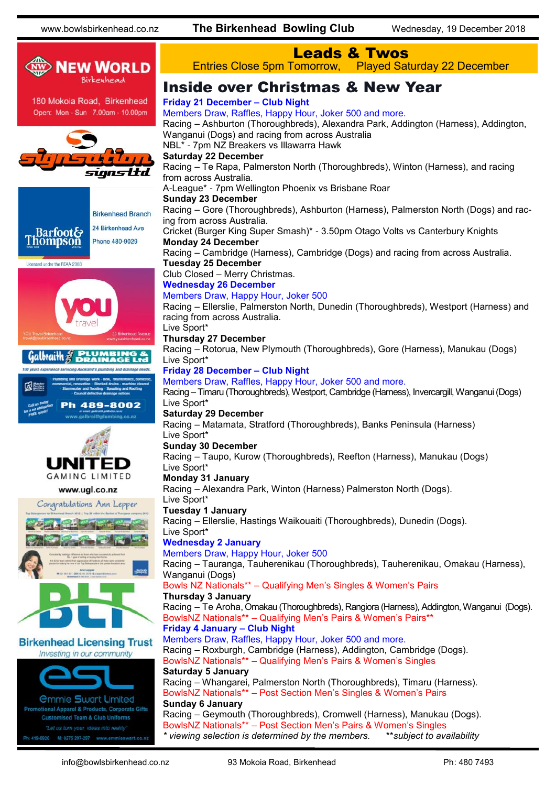

#### Leads & Twos Entries Close 5pm Tomorrow, Played Saturday 22 December

## Inside over Christmas & New Year

#### **Friday 21 December – Club Night**

Racing – Ashburton (Thoroughbreds), Alexandra Park, Addington (Harness), Addington, Wanganui (Dogs) and racing from across Australia NBL\* - 7pm NZ Breakers vs Illawarra Hawk **Saturday 22 December** Racing – Te Rapa, Palmerston North (Thoroughbreds), Winton (Harness), and racing from across Australia. A-League\* - 7pm Wellington Phoenix vs Brisbane Roar **Sunday 23 December** Racing – Gore (Thoroughbreds), Ashburton (Harness), Palmerston North (Dogs) and racing from across Australia. Cricket (Burger King Super Smash)\* - 3.50pm Otago Volts vs Canterbury Knights **Monday 24 December** Racing – Cambridge (Harness), Cambridge (Dogs) and racing from across Australia. **Tuesday 25 December** Club Closed – Merry Christmas. **Wednesday 26 December** Members Draw, Happy Hour, Joker 500 Racing – Ellerslie, Palmerston North, Dunedin (Thoroughbreds), Westport (Harness) and racing from across Australia. Live Sport\* **Thursday 27 December** Racing – Rotorua, New Plymouth (Thoroughbreds), Gore (Harness), Manukau (Dogs) Live Sport\* **Friday 28 December – Club Night** Members Draw, Raffles, Happy Hour, Joker 500 and more. Racing – Timaru (Thoroughbreds), Westport, Cambridge (Harness), Invercargill, Wanganui (Dogs) Live Sport\* **Saturday 29 December** Racing – Matamata, Stratford (Thoroughbreds), Banks Peninsula (Harness) Live Sport\* **Sunday 30 December** Racing – Taupo, Kurow (Thoroughbreds), Reefton (Harness), Manukau (Dogs) Live Sport\* **Monday 31 January** Racing – Alexandra Park, Winton (Harness) Palmerston North (Dogs). Live Sport\* **Tuesday 1 January** Racing – Ellerslie, Hastings Waikouaiti (Thoroughbreds), Dunedin (Dogs). Live Sport\* **Wednesday 2 January** Members Draw, Happy Hour, Joker 500 Racing – Tauranga, Tauherenikau (Thoroughbreds), Tauherenikau, Omakau (Harness), Wanganui (Dogs) Bowls NZ Nationals\*\* – Qualifying Men's Singles & Women's Pairs **Thursday 3 January** Racing – Te Aroha, Omakau (Thoroughbreds), Rangiora (Harness), Addington, Wanganui (Dogs). BowlsNZ Nationals\*\* – Qualifying Men's Pairs & Women's Pairs\*\* **Friday 4 January – Club Night** Members Draw, Raffles, Happy Hour, Joker 500 and more. Racing – Roxburgh, Cambridge (Harness), Addington, Cambridge (Dogs). BowlsNZ Nationals\*\* – Qualifying Men's Pairs & Women's Singles **Saturday 5 January** Racing – Whangarei, Palmerston North (Thoroughbreds), Timaru (Harness). BowlsNZ Nationals\*\* – Post Section Men's Singles & Women's Pairs **Sunday 6 January** Racing – Geymouth (Thoroughbreds), Cromwell (Harness), Manukau (Dogs). BowlsNZ Nationals\*\* – Post Section Men's Pairs & Women's Singles *\* viewing selection is determined by the members.* \*\**subject to availability*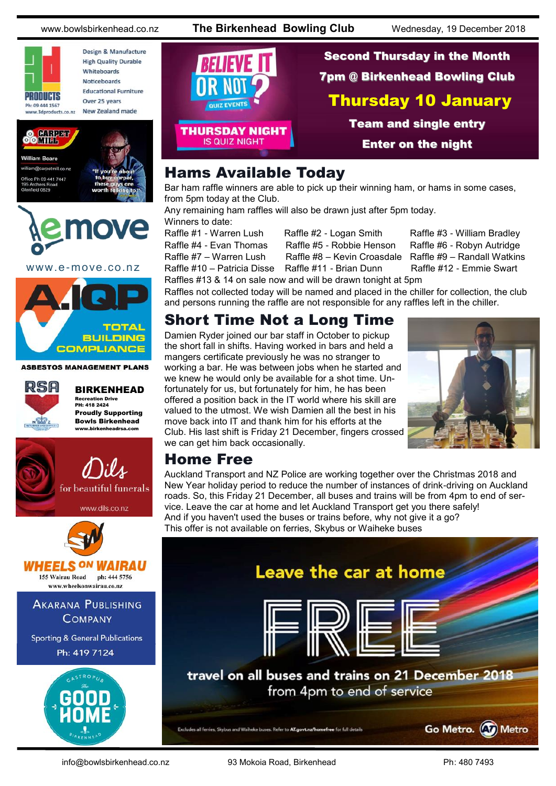

Design & Manufacture **High Quality Durable** Whiteboards Noticeboards **Educational Furniture** Over 25 years New Zealand made





www.e-move.co.nz



**ASBESTOS MANAGEMENT PLANS** 



BIRKENHEAD Recreation Drive PH: 418 2424 Proudly Supporting Bowls Birkenhead www.birkenheadrsa.com



Second Thursday in the Month 7pm @ Birkenhead Bowling Club Thursday 10 January QUIZ EVENTS Team and single entry **THURSDAY NIGHT IS QUIZ NIGHT** Enter on the night

## Hams Available Today

Bar ham raffle winners are able to pick up their winning ham, or hams in some cases, from 5pm today at the Club.

Any remaining ham raffles will also be drawn just after 5pm today. Winners to date:

Raffle #1 - Warren Lush Raffle #2 - Logan Smith Raffle #3 - William Bradley Raffle #4 - Evan Thomas Raffle #5 - Robbie Henson Raffle #6 - Robyn Autridge Raffle #7 – Warren Lush Raffle #8 – Kevin Croasdale Raffle #9 – Randall Watkins

Raffle #10 – Patricia Disse Raffle #11 - Brian Dunn Raffle #12 - Emmie Swart

Raffles #13 & 14 on sale now and will be drawn tonight at 5pm Raffles not collected today will be named and placed in the chiller for collection, the club and persons running the raffle are not responsible for any raffles left in the chiller.

#### Short Time Not a Long Time

Damien Ryder joined our bar staff in October to pickup the short fall in shifts. Having worked in bars and held a mangers certificate previously he was no stranger to working a bar. He was between jobs when he started and we knew he would only be available for a shot time. Unfortunately for us, but fortunately for him, he has been offered a position back in the IT world where his skill are valued to the utmost. We wish Damien all the best in his move back into IT and thank him for his efforts at the Club. His last shift is Friday 21 December, fingers crossed we can get him back occasionally.



#### Home Free

Auckland Transport and NZ Police are working together over the Christmas 2018 and New Year holiday period to reduce the number of instances of drink-driving on Auckland roads. So, this Friday 21 December, all buses and trains will be from 4pm to end of service. Leave the car at home and let Auckland Transport get you there safely! And if you haven't used the buses or trains before, why not give it a go? This offer is not available on ferries, Skybus or Waiheke buses



info@bowlsbirkenhead.co.nz 93 Mokoia Road, Birkenhead Ph: 480 7493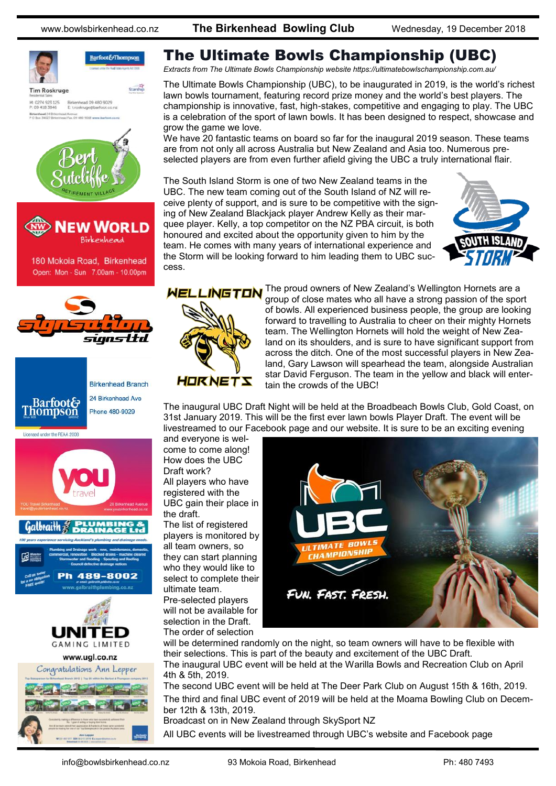

**Tim Roskruge** 

Barfoot&Thompson Starship

M: 0274 923 125<br>P: 09 418 3846 Birkenhead 09 480 9029<br>E: t.roskruge@barfoot.co.nz ead 24 Briter





180 Mokoia Road, Birkenhead Open: Mon - Sun 7.00am - 10.00pm



| <b>Barfoot&amp;</b><br>Thompson | <b>Birkenhead Branch</b> |
|---------------------------------|--------------------------|
|                                 | 24 Birkenhead Ave        |
|                                 | Phone 480-9029           |
|                                 |                          |

Licensed under the REAA 2008





## The Ultimate Bowls Championship (UBC)

*Extracts from The Ultimate Bowls Championship website https://ultimatebowlschampionship.com.au/*

The Ultimate Bowls Championship (UBC), to be inaugurated in 2019, is the world's richest lawn bowls tournament, featuring record prize money and the world's best players. The championship is innovative, fast, high-stakes, competitive and engaging to play. The UBC is a celebration of the sport of lawn bowls. It has been designed to respect, showcase and grow the game we love.

We have 20 fantastic teams on board so far for the inaugural 2019 season. These teams are from not only all across Australia but New Zealand and Asia too. Numerous preselected players are from even further afield giving the UBC a truly international flair.

The South Island Storm is one of two New Zealand teams in the UBC. The new team coming out of the South Island of NZ will receive plenty of support, and is sure to be competitive with the signing of New Zealand Blackjack player Andrew Kelly as their marquee player. Kelly, a top competitor on the NZ PBA circuit, is both honoured and excited about the opportunity given to him by the team. He comes with many years of international experience and the Storm will be looking forward to him leading them to UBC success.





LINGTON The proud owners of New Zealand's Wellington Hornets are a group of close mates who all have a strong passion of the sport of bowls. All experienced business people, the group are looking forward to travelling to Australia to cheer on their mighty Hornets team. The Wellington Hornets will hold the weight of New Zealand on its shoulders, and is sure to have significant support from across the ditch. One of the most successful players in New Zealand, Gary Lawson will spearhead the team, alongside Australian star David Ferguson. The team in the yellow and black will entertain the crowds of the UBC!

The inaugural UBC Draft Night will be held at the Broadbeach Bowls Club, Gold Coast, on 31st January 2019. This will be the first ever lawn bowls Player Draft. The event will be livestreamed to our Facebook page and our website. It is sure to be an exciting evening

and everyone is welcome to come along! How does the UBC Draft work? All players who have registered with the UBC gain their place in

the draft. The list of registered players is monitored by all team owners, so they can start planning who they would like to select to complete their ultimate team. Pre-selected players will not be available for selection in the Draft.

The order of selection



will be determined randomly on the night, so team owners will have to be flexible with their selections. This is part of the beauty and excitement of the UBC Draft. The inaugural UBC event will be held at the Warilla Bowls and Recreation Club on April 4th & 5th, 2019.

The second UBC event will be held at The Deer Park Club on August 15th & 16th, 2019. The third and final UBC event of 2019 will be held at the Moama Bowling Club on December 12th & 13th, 2019.

Broadcast on in New Zealand through SkySport NZ

All UBC events will be livestreamed through UBC's website and Facebook page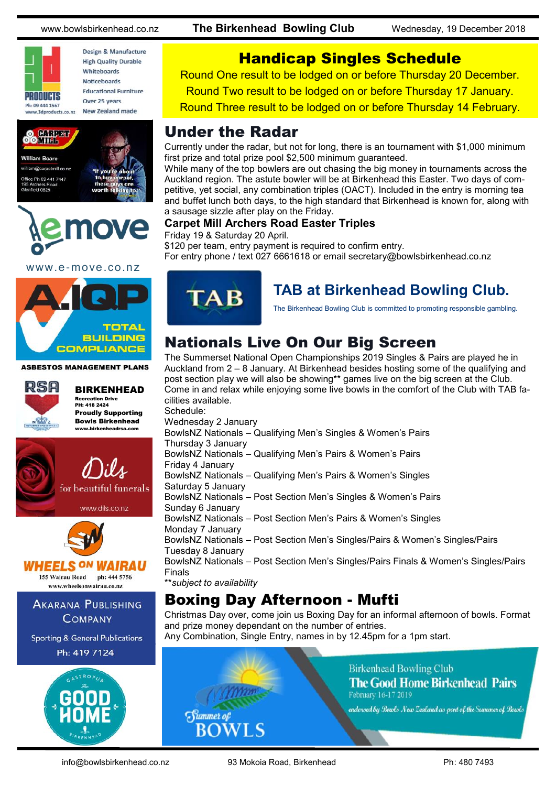

Design & Manufacture **High Quality Durable** Whiteboards Noticeboards **Educational Furniture** Over 25 years New Zealand made





www.e-move.co.nz



**ASBESTOS MANAGEMENT PLANS** 



BIRKENHEAD Recreation Drive PH: 418 2424 Proudly Supporting Bowls Birkenhead www.birkenheadrsa.com



www.dils.co.nz



HEELS <sup>ON</sup> WAIRAU 155 Wairau Road ph: 444 5756

www.wheelsonwairau.co.nz

**AKARANA PUBLISHING COMPANY** 

**Sporting & General Publications** Ph: 419 7124



## Handicap Singles Schedule

Round One result to be lodged on or before Thursday 20 December.

Round Two result to be lodged on or before Thursday 17 January.

Round Three result to be lodged on or before Thursday 14 February.

#### Under the Radar

Currently under the radar, but not for long, there is an tournament with \$1,000 minimum first prize and total prize pool \$2,500 minimum guaranteed.

While many of the top bowlers are out chasing the big money in tournaments across the Auckland region. The astute bowler will be at Birkenhead this Easter. Two days of competitive, yet social, any combination triples (OACT). Included in the entry is morning tea and buffet lunch both days, to the high standard that Birkenhead is known for, along with a sausage sizzle after play on the Friday.

#### **Carpet Mill Archers Road Easter Triples**

Friday 19 & Saturday 20 April.

\$120 per team, entry payment is required to confirm entry. For entry phone / text 027 6661618 or email [secretary@bowlsbirkenhead.co.nz](mailto:secretary@bowlsbirkenhead.co.nz)



**TAB at Birkenhead Bowling Club.**

The Birkenhead Bowling Club is committed to promoting responsible gambling.

# Nationals Live On Our Big Screen

The Summerset National Open Championships 2019 Singles & Pairs are played he in Auckland from 2 – 8 January. At Birkenhead besides hosting some of the qualifying and post section play we will also be showing\*\* games live on the big screen at the Club. Come in and relax while enjoying some live bowls in the comfort of the Club with TAB facilities available. Schedule:

Wednesday 2 January BowlsNZ Nationals – Qualifying Men's Singles & Women's Pairs Thursday 3 January BowlsNZ Nationals – Qualifying Men's Pairs & Women's Pairs Friday 4 January BowlsNZ Nationals – Qualifying Men's Pairs & Women's Singles Saturday 5 January BowlsNZ Nationals – Post Section Men's Singles & Women's Pairs Sunday 6 January BowlsNZ Nationals – Post Section Men's Pairs & Women's Singles Monday 7 January BowlsNZ Nationals – Post Section Men's Singles/Pairs & Women's Singles/Pairs Tuesday 8 January BowlsNZ Nationals – Post Section Men's Singles/Pairs Finals & Women's Singles/Pairs Finals \*\**subject to availability*

# Boxing Day Afternoon - Mufti

Christmas Day over, come join us Boxing Day for an informal afternoon of bowls. Format and prize money dependant on the number of entries.

Any Combination, Single Entry, names in by 12.45pm for a 1pm start.



**Birkenhead Bowling Club The Good Home Birkenhead Pairs** February 16-17 2019

endorsed by Bourts New Zealand as part of the Summer of Bourts